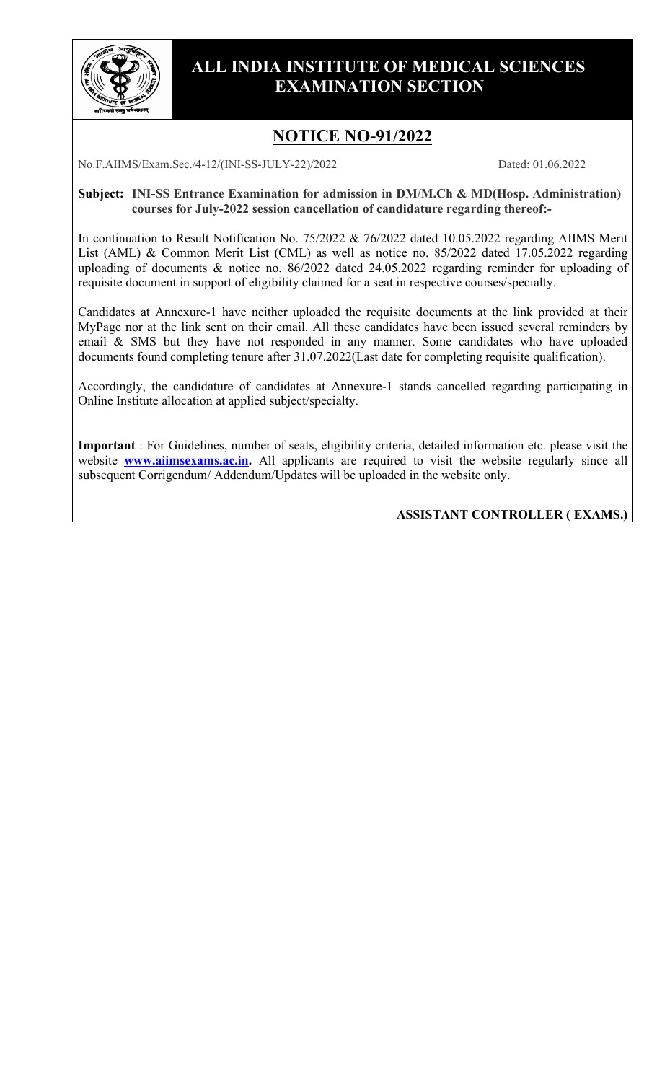

### **ALL INDIA INSTITUTE OF MEDICAL SCIENCES EXAMINATION SECTION**

# **NOTICE NO-91/2022**

No.F.AIIMS/Exam.Sec./4-12/(INI-SS-JULY-22)/2022 Dated: 01.06.2022

**Subject: INI-SS Entrance Examination for admission in DM/M.Ch & MD(Hosp. Administration) courses for July-2022 session cancellation of candidature regarding thereof:-**

In continuation to Result Notification No. 75/2022 & 76/2022 dated 10.05.2022 regarding AIIMS Merit List (AML) & Common Merit List (CML) as well as notice no. 85/2022 dated 17.05.2022 regarding uploading of documents & notice no. 86/2022 dated 24.05.2022 regarding reminder for uploading of requisite document in support of eligibility claimed for a seat in respective courses/specialty.

Candidates at Annexure-1 have neither uploaded the requisite documents at the link provided at their MyPage nor at the link sent on their email. All these candidates have been issued several reminders by email & SMS but they have not responded in any manner. Some candidates who have uploaded documents found completing tenure after 31.07.2022(Last date for completing requisite qualification).

Accordingly, the candidature of candidates at Annexure-1 stands cancelled regarding participating in Online Institute allocation at applied subject/specialty.

**Important** : For Guidelines, number of seats, eligibility criteria, detailed information etc. please visit the website **[www.aiimsexams.ac.in.](http://www.aiimsexams.ac.in/)** All applicants are required to visit the website regularly since all subsequent Corrigendum/ Addendum/Updates will be uploaded in the website only.

### **ASSISTANT CONTROLLER ( EXAMS.)**